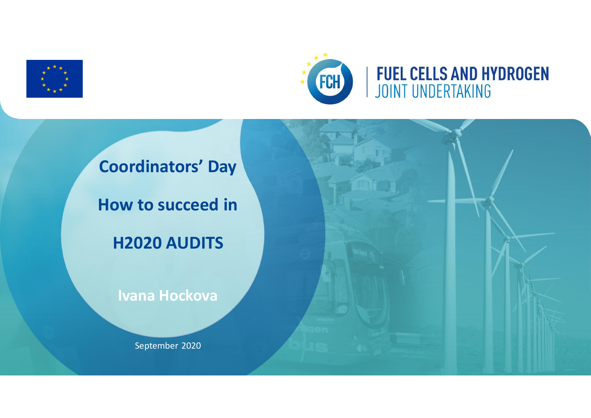



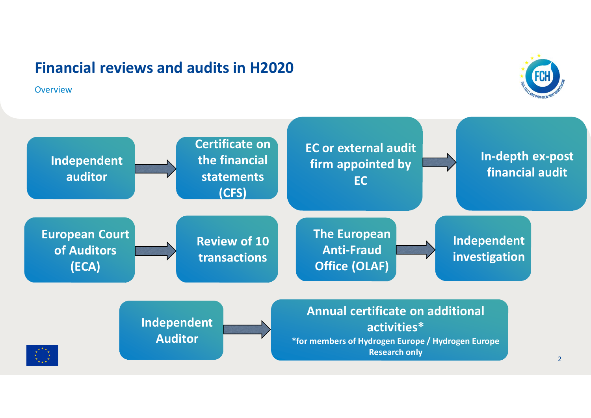**Overview** 



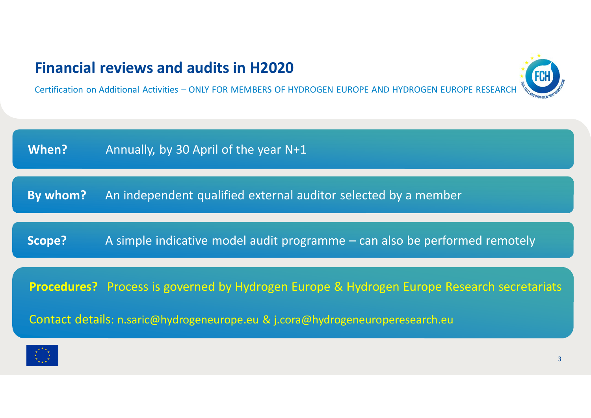Certification on Additional Activities – ONLY FOR MEMBERS OF HYDROGEN EUROPE AND HYDROGEN EUROPE RESEARCH

**When?** Annually, by 30 April of the year N+1 **Scope?** A simple indicative model audit programme – can also be performed remotely **By whom?** An independent qualified external auditor selected by a member **Procedures?** Process is governed by Hydrogen Europe & Hydrogen Europe Research secretariats

Contact details: n.saric@hydrogeneurope.eu & j.cora@hydrogeneuroperesearch.eu



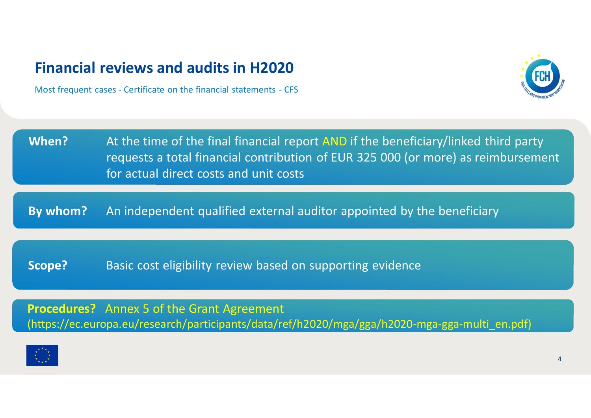Most frequent cases - Certificate on the financial statements - CFS



| When? | At the time of the final financial report AND if the beneficiary/linked third party |
|-------|-------------------------------------------------------------------------------------|
|       | requests a total financial contribution of EUR 325 000 (or more) as reimbursement   |
|       | for actual direct costs and unit costs                                              |

**By whom?** An independent qualified external auditor appointed by the beneficiary

**Scope?** Basic cost eligibility review based on supporting evidence

**Procedures?** Annex 5 of the Grant Agreement (https://ec.europa.eu/research/participants/data/ref/h2020/mga/gga/h2020-mga-gga-multi\_en.pdf)

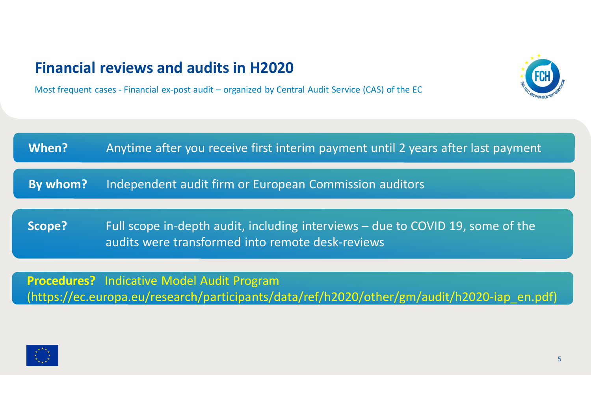Most frequent cases - Financial ex-post audit – organized by Central Audit Service (CAS) of the EC



(https://ec.europa.eu/research/participants/data/ref/h2020/other/gm/audit/h2020-iap\_en.pdf)

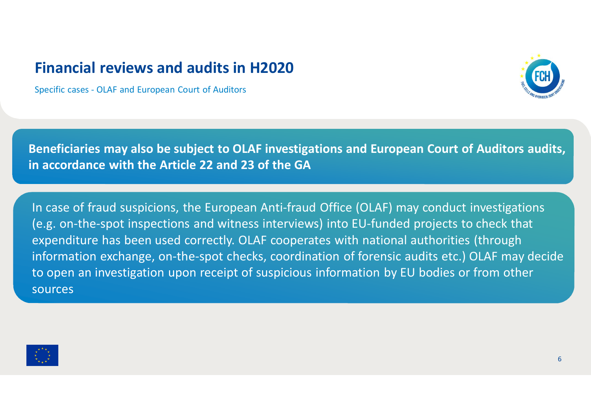Specific cases - OLAF and European Court of Auditors



**Beneficiaries may also be subject to OLAF investigations and European Court of Auditors audits, in accordance with the Article 22 and 23 of the GA**

In case of fraud suspicions, the European Anti-fraud Office (OLAF) may conduct investigations (e.g. on-the-spot inspections and witness interviews) into EU-funded projects to check that expenditure has been used correctly. OLAF cooperates with national authorities (through information exchange, on-the-spot checks, coordination of forensic audits etc.) OLAF may decide to open an investigation upon receipt of suspicious information by EU bodies or from other sources

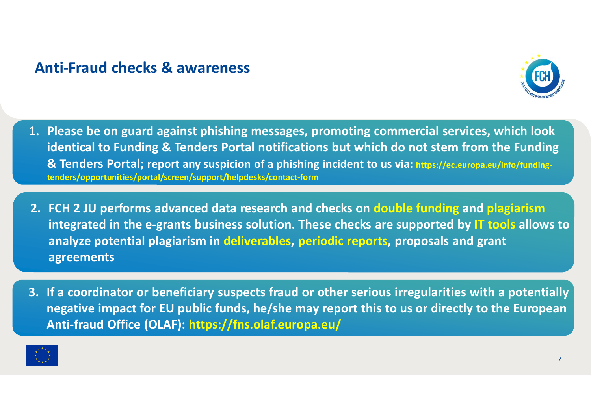### **Anti-Fraud checks & awareness**



- **1. Please be on guard against phishing messages, promoting commercial services, which look identical to Funding & Tenders Portal notifications but which do not stem from the Funding & Tenders Portal; report any suspicion of a phishing incident to us via: https://ec.europa.eu/info/fundingtenders/opportunities/portal/screen/support/helpdesks/contact-form**
- **2. FCH 2 JU performs advanced data research and checks on double funding and plagiarism integrated in the e-grants business solution. These checks are supported by IT tools allows to analyze potential plagiarism in deliverables, periodic reports, proposals and grant agreements**
- **3. If a coordinator or beneficiary suspects fraud or other serious irregularities with a potentially negative impact for EU public funds, he/she may report this to us or directly to the European Anti-fraud Office (OLAF): https://fns.olaf.europa.eu/**

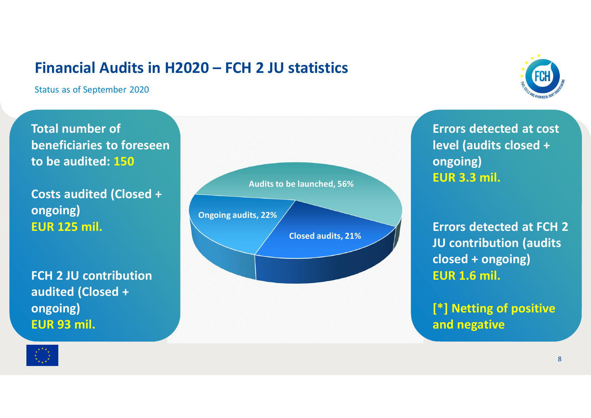### **Financial Audits in H2020 – FCH 2 JU statistics**

Status as of September 2020



**Total number of beneficiaries to foreseen to be audited: 150**

**Costs audited (Closed + ongoing) EUR 125 mil.**

**FCH 2 JU contribution audited (Closed + ongoing) EUR 93 mil.**



**Errors detected at cost level (audits closed + ongoing) EUR 3.3 mil.**

**Errors detected at FCH 2 JU contribution (audits closed + ongoing) EUR 1.6 mil.**

**[\*] Netting of positive and negative**

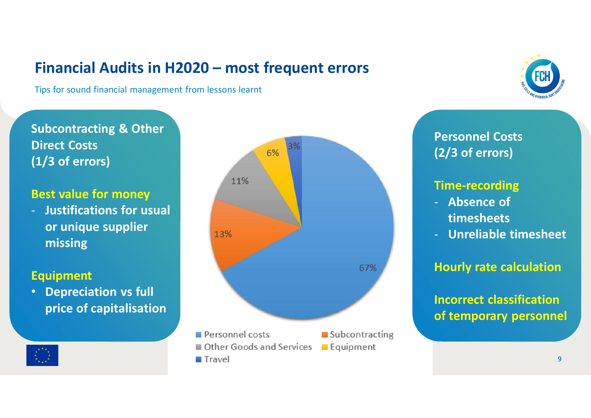# **Financial Audits in H2020 – most frequent errors**

Tips for sound financial management from lessons learnt

### **Subcontracting & Other Direct Costs (1/3 of errors)**

#### **Best value for money**

- **Justifications for usual or unique supplier missing**

#### **Equipment**

• **Depreciation vs full price of capitalisation**





# **Personnel Costs (2/3 of errors)**

### **Time-recording**

- **Absence of timesheets**
- **Unreliable timesheet**

### **Hourly rate calculation**

**Incorrect classification of temporary personnel**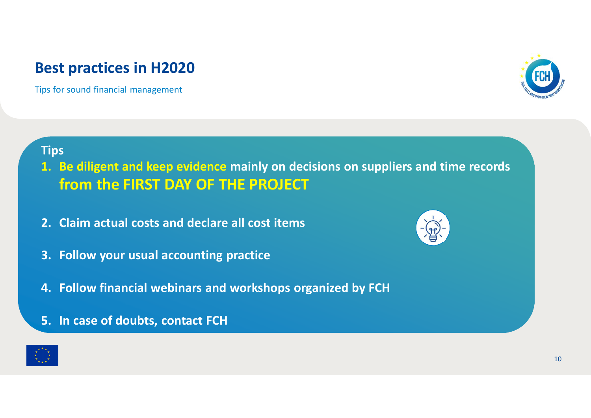# **Best practices in H2020**

Tips for sound financial management



### **Tips**

- **1. Be diligent and keep evidence mainly on decisions on suppliers and time records from the FIRST DAY OF THE PROJECT**
- **2. Claim actual costs and declare all cost items**
- **3. Follow your usual accounting practice**
- **4. Follow financial webinars and workshops organized by FCH**
- **5. In case of doubts, contact FCH**